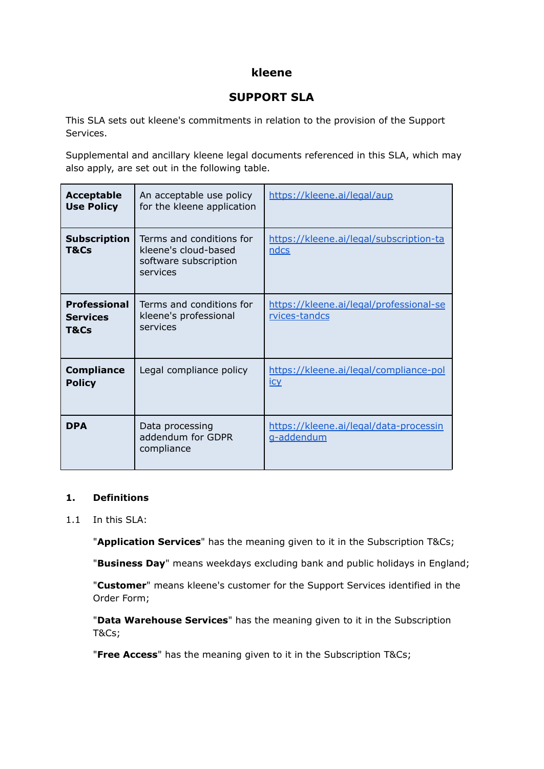## **kleene**

# **SUPPORT SLA**

This SLA sets out kleene's commitments in relation to the provision of the Support Services.

Supplemental and ancillary kleene legal documents referenced in this SLA, which may also apply, are set out in the following table.

| <b>Acceptable</b><br><b>Use Policy</b>         | An acceptable use policy<br>for the kleene application                                | https://kleene.ai/legal/aup                              |
|------------------------------------------------|---------------------------------------------------------------------------------------|----------------------------------------------------------|
| <b>Subscription</b><br>T&Cs                    | Terms and conditions for<br>kleene's cloud-based<br>software subscription<br>services | https://kleene.ai/legal/subscription-ta<br>ndcs          |
| <b>Professional</b><br><b>Services</b><br>T&Cs | Terms and conditions for<br>kleene's professional<br>services                         | https://kleene.ai/legal/professional-se<br>rvices-tandcs |
| <b>Compliance</b><br><b>Policy</b>             | Legal compliance policy                                                               | https://kleene.ai/legal/compliance-pol<br><b>ICY</b>     |
| <b>DPA</b>                                     | Data processing<br>addendum for GDPR<br>compliance                                    | https://kleene.ai/legal/data-processin<br>g-addendum     |

### **1. Definitions**

1.1 In this SLA:

"**Application Services**" has the meaning given to it in the Subscription T&Cs;

"**Business Day**" means weekdays excluding bank and public holidays in England;

"**Customer**" means kleene's customer for the Support Services identified in the Order Form;

"**Data Warehouse Services**" has the meaning given to it in the Subscription T&Cs;

"**Free Access**" has the meaning given to it in the Subscription T&Cs;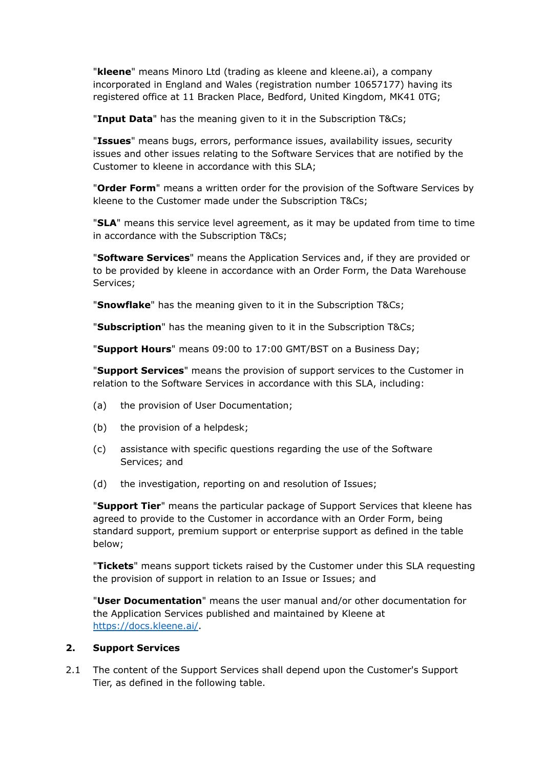"**kleene**" means Minoro Ltd (trading as kleene and kleene.ai), a company incorporated in England and Wales (registration number 10657177) having its registered office at 11 Bracken Place, Bedford, United Kingdom, MK41 0TG;

"**Input Data**" has the meaning given to it in the Subscription T&Cs;

"**Issues**" means bugs, errors, performance issues, availability issues, security issues and other issues relating to the Software Services that are notified by the Customer to kleene in accordance with this SLA;

"**Order Form**" means a written order for the provision of the Software Services by kleene to the Customer made under the Subscription T&Cs;

"**SLA**" means this service level agreement, as it may be updated from time to time in accordance with the Subscription T&Cs;

"**Software Services**" means the Application Services and, if they are provided or to be provided by kleene in accordance with an Order Form, the Data Warehouse Services;

"**Snowflake**" has the meaning given to it in the Subscription T&Cs;

"**Subscription**" has the meaning given to it in the Subscription T&Cs;

"**Support Hours**" means 09:00 to 17:00 GMT/BST on a Business Day;

"**Support Services**" means the provision of support services to the Customer in relation to the Software Services in accordance with this SLA, including:

- (a) the provision of User Documentation;
- (b) the provision of a helpdesk;
- (c) assistance with specific questions regarding the use of the Software Services; and
- (d) the investigation, reporting on and resolution of Issues;

"**Support Tier**" means the particular package of Support Services that kleene has agreed to provide to the Customer in accordance with an Order Form, being standard support, premium support or enterprise support as defined in the table below;

"**Tickets**" means support tickets raised by the Customer under this SLA requesting the provision of support in relation to an Issue or Issues; and

"**User Documentation**" means the user manual and/or other documentation for the Application Services published and maintained by Kleene at <https://docs.kleene.ai/>.

### **2. Support Services**

2.1 The content of the Support Services shall depend upon the Customer's Support Tier, as defined in the following table.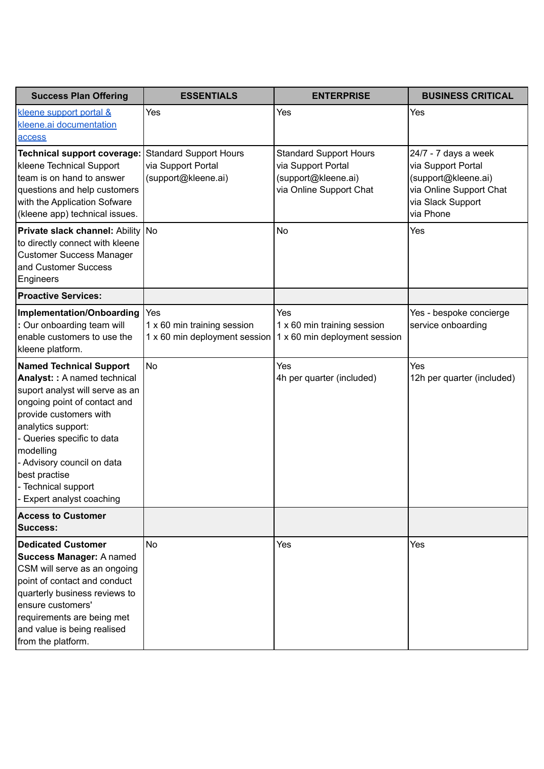| <b>Success Plan Offering</b>                                                                                                                                                                                                                                                                                                | <b>ESSENTIALS</b>                                                   | <b>ENTERPRISE</b>                                                                                     | <b>BUSINESS CRITICAL</b>                                                                                                       |
|-----------------------------------------------------------------------------------------------------------------------------------------------------------------------------------------------------------------------------------------------------------------------------------------------------------------------------|---------------------------------------------------------------------|-------------------------------------------------------------------------------------------------------|--------------------------------------------------------------------------------------------------------------------------------|
| kleene support portal &<br>kleene.ai documentation<br>access                                                                                                                                                                                                                                                                | Yes                                                                 | Yes                                                                                                   | Yes                                                                                                                            |
| <b>Technical support coverage:</b><br>kleene Technical Support<br>team is on hand to answer<br>questions and help customers<br>with the Application Sofware<br>(kleene app) technical issues.                                                                                                                               | Standard Support Hours<br>via Support Portal<br>(support@kleene.ai) | <b>Standard Support Hours</b><br>via Support Portal<br>(support@kleene.ai)<br>via Online Support Chat | 24/7 - 7 days a week<br>via Support Portal<br>(support@kleene.ai)<br>via Online Support Chat<br>via Slack Support<br>via Phone |
| <b>Private slack channel: Ability No</b><br>to directly connect with kleene<br><b>Customer Success Manager</b><br>and Customer Success<br>Engineers                                                                                                                                                                         |                                                                     | <b>No</b>                                                                                             | Yes                                                                                                                            |
| <b>Proactive Services:</b>                                                                                                                                                                                                                                                                                                  |                                                                     |                                                                                                       |                                                                                                                                |
| Implementation/Onboarding<br>: Our onboarding team will<br>enable customers to use the<br>kleene platform.                                                                                                                                                                                                                  | Yes<br>1 x 60 min training session<br>1 x 60 min deployment session | Yes<br>1 x 60 min training session<br>1 x 60 min deployment session                                   | Yes - bespoke concierge<br>service onboarding                                                                                  |
| <b>Named Technical Support</b><br>Analyst: : A named technical<br>suport analyst will serve as an<br>ongoing point of contact and<br>provide customers with<br>analytics support:<br>- Queries specific to data<br>modelling<br>Advisory council on data<br>best practise<br>- Technical support<br>Expert analyst coaching | <b>No</b>                                                           | Yes<br>4h per quarter (included)                                                                      | Yes<br>12h per quarter (included)                                                                                              |
| <b>Access to Customer</b><br><b>Success:</b>                                                                                                                                                                                                                                                                                |                                                                     |                                                                                                       |                                                                                                                                |
| <b>Dedicated Customer</b><br>Success Manager: A named<br>CSM will serve as an ongoing<br>point of contact and conduct<br>quarterly business reviews to<br>ensure customers'<br>requirements are being met<br>and value is being realised<br>from the platform.                                                              | No                                                                  | Yes                                                                                                   | Yes                                                                                                                            |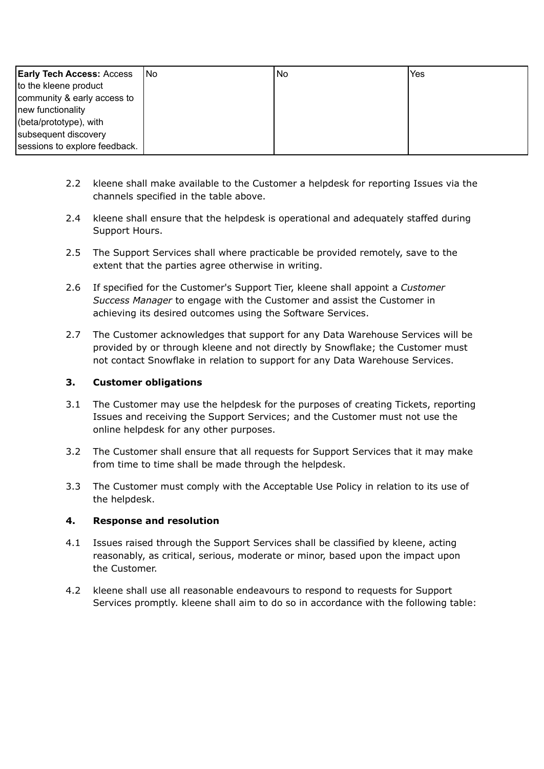| <b>Early Tech Access: Access</b> | INo. | No. | Yes |
|----------------------------------|------|-----|-----|
| to the kleene product            |      |     |     |
| community & early access to      |      |     |     |
| new functionality                |      |     |     |
| $[$ (beta/prototype), with       |      |     |     |
| subsequent discovery             |      |     |     |
| sessions to explore feedback.    |      |     |     |

- 2.2 kleene shall make available to the Customer a helpdesk for reporting Issues via the channels specified in the table above.
- 2.4 kleene shall ensure that the helpdesk is operational and adequately staffed during Support Hours.
- 2.5 The Support Services shall where practicable be provided remotely, save to the extent that the parties agree otherwise in writing.
- 2.6 If specified for the Customer's Support Tier, kleene shall appoint a *Customer Success Manager* to engage with the Customer and assist the Customer in achieving its desired outcomes using the Software Services.
- 2.7 The Customer acknowledges that support for any Data Warehouse Services will be provided by or through kleene and not directly by Snowflake; the Customer must not contact Snowflake in relation to support for any Data Warehouse Services.

### **3. Customer obligations**

- 3.1 The Customer may use the helpdesk for the purposes of creating Tickets, reporting Issues and receiving the Support Services; and the Customer must not use the online helpdesk for any other purposes.
- 3.2 The Customer shall ensure that all requests for Support Services that it may make from time to time shall be made through the helpdesk.
- 3.3 The Customer must comply with the Acceptable Use Policy in relation to its use of the helpdesk.

### **4. Response and resolution**

- 4.1 Issues raised through the Support Services shall be classified by kleene, acting reasonably, as critical, serious, moderate or minor, based upon the impact upon the Customer.
- 4.2 kleene shall use all reasonable endeavours to respond to requests for Support Services promptly. kleene shall aim to do so in accordance with the following table: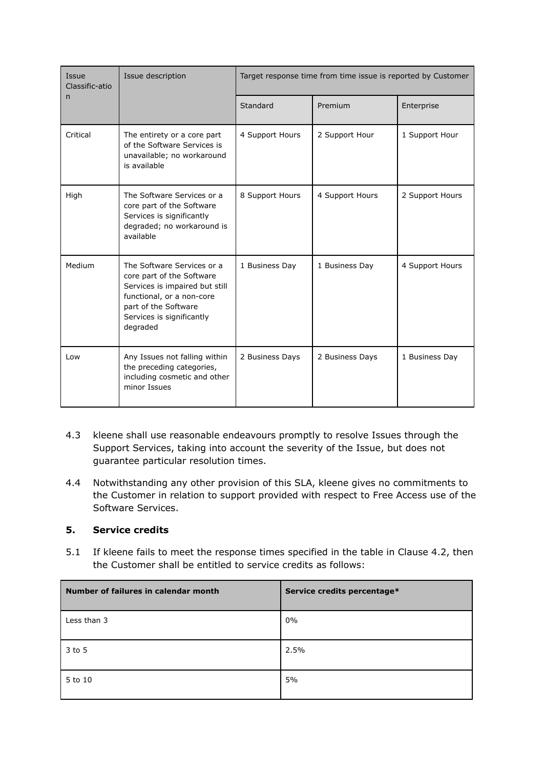| Issue<br>Classific-atio | Issue description                                                                                                                                                                       | Target response time from time issue is reported by Customer |                 |                 |
|-------------------------|-----------------------------------------------------------------------------------------------------------------------------------------------------------------------------------------|--------------------------------------------------------------|-----------------|-----------------|
| n                       |                                                                                                                                                                                         | Standard                                                     | Premium         | Enterprise      |
| Critical                | The entirety or a core part<br>of the Software Services is<br>unavailable; no workaround<br>is available                                                                                | 4 Support Hours                                              | 2 Support Hour  | 1 Support Hour  |
| High                    | The Software Services or a<br>core part of the Software<br>Services is significantly<br>degraded; no workaround is<br>available                                                         | 8 Support Hours                                              | 4 Support Hours | 2 Support Hours |
| Medium                  | The Software Services or a<br>core part of the Software<br>Services is impaired but still<br>functional, or a non-core<br>part of the Software<br>Services is significantly<br>degraded | 1 Business Day                                               | 1 Business Day  | 4 Support Hours |
| Low                     | Any Issues not falling within<br>the preceding categories,<br>including cosmetic and other<br>minor Issues                                                                              | 2 Business Days                                              | 2 Business Days | 1 Business Day  |

- 4.3 kleene shall use reasonable endeavours promptly to resolve Issues through the Support Services, taking into account the severity of the Issue, but does not guarantee particular resolution times.
- 4.4 Notwithstanding any other provision of this SLA, kleene gives no commitments to the Customer in relation to support provided with respect to Free Access use of the Software Services.

### **5. Service credits**

5.1 If kleene fails to meet the response times specified in the table in Clause 4.2, then the Customer shall be entitled to service credits as follows:

| Number of failures in calendar month | Service credits percentage* |
|--------------------------------------|-----------------------------|
| Less than 3                          | $0\%$                       |
| 3 to 5                               | 2.5%                        |
| 5 to 10                              | 5%                          |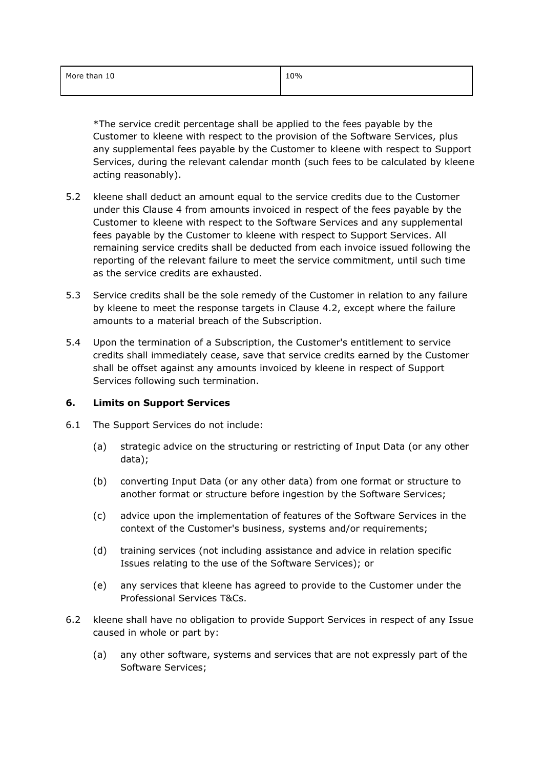| More than 10 | 10% |
|--------------|-----|
|              |     |

\*The service credit percentage shall be applied to the fees payable by the Customer to kleene with respect to the provision of the Software Services, plus any supplemental fees payable by the Customer to kleene with respect to Support Services, during the relevant calendar month (such fees to be calculated by kleene acting reasonably).

- 5.2 kleene shall deduct an amount equal to the service credits due to the Customer under this Clause 4 from amounts invoiced in respect of the fees payable by the Customer to kleene with respect to the Software Services and any supplemental fees payable by the Customer to kleene with respect to Support Services. All remaining service credits shall be deducted from each invoice issued following the reporting of the relevant failure to meet the service commitment, until such time as the service credits are exhausted.
- 5.3 Service credits shall be the sole remedy of the Customer in relation to any failure by kleene to meet the response targets in Clause 4.2, except where the failure amounts to a material breach of the Subscription.
- 5.4 Upon the termination of a Subscription, the Customer's entitlement to service credits shall immediately cease, save that service credits earned by the Customer shall be offset against any amounts invoiced by kleene in respect of Support Services following such termination.

### **6. Limits on Support Services**

- 6.1 The Support Services do not include:
	- (a) strategic advice on the structuring or restricting of Input Data (or any other data);
	- (b) converting Input Data (or any other data) from one format or structure to another format or structure before ingestion by the Software Services;
	- (c) advice upon the implementation of features of the Software Services in the context of the Customer's business, systems and/or requirements;
	- (d) training services (not including assistance and advice in relation specific Issues relating to the use of the Software Services); or
	- (e) any services that kleene has agreed to provide to the Customer under the Professional Services T&Cs.
- 6.2 kleene shall have no obligation to provide Support Services in respect of any Issue caused in whole or part by:
	- (a) any other software, systems and services that are not expressly part of the Software Services;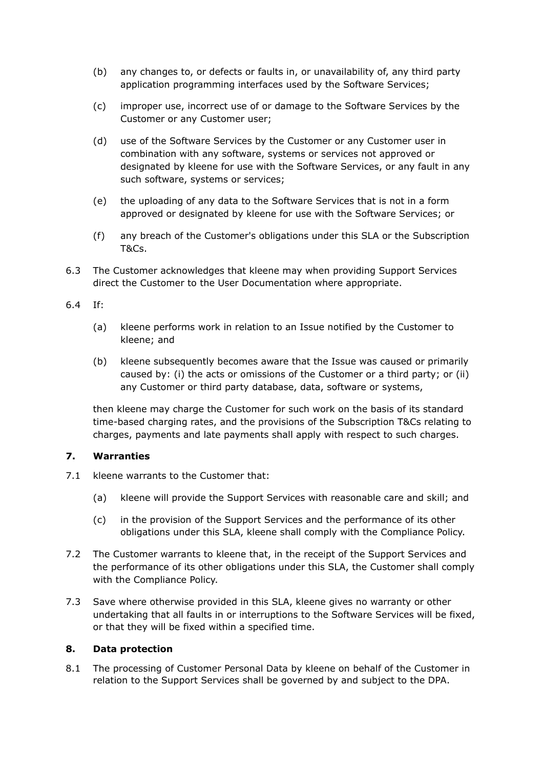- (b) any changes to, or defects or faults in, or unavailability of, any third party application programming interfaces used by the Software Services;
- (c) improper use, incorrect use of or damage to the Software Services by the Customer or any Customer user;
- (d) use of the Software Services by the Customer or any Customer user in combination with any software, systems or services not approved or designated by kleene for use with the Software Services, or any fault in any such software, systems or services;
- (e) the uploading of any data to the Software Services that is not in a form approved or designated by kleene for use with the Software Services; or
- (f) any breach of the Customer's obligations under this SLA or the Subscription T&Cs.
- 6.3 The Customer acknowledges that kleene may when providing Support Services direct the Customer to the User Documentation where appropriate.

### 6.4 If:

- (a) kleene performs work in relation to an Issue notified by the Customer to kleene; and
- (b) kleene subsequently becomes aware that the Issue was caused or primarily caused by: (i) the acts or omissions of the Customer or a third party; or (ii) any Customer or third party database, data, software or systems,

then kleene may charge the Customer for such work on the basis of its standard time-based charging rates, and the provisions of the Subscription T&Cs relating to charges, payments and late payments shall apply with respect to such charges.

### **7. Warranties**

- 7.1 kleene warrants to the Customer that:
	- (a) kleene will provide the Support Services with reasonable care and skill; and
	- (c) in the provision of the Support Services and the performance of its other obligations under this SLA, kleene shall comply with the Compliance Policy.
- 7.2 The Customer warrants to kleene that, in the receipt of the Support Services and the performance of its other obligations under this SLA, the Customer shall comply with the Compliance Policy.
- 7.3 Save where otherwise provided in this SLA, kleene gives no warranty or other undertaking that all faults in or interruptions to the Software Services will be fixed, or that they will be fixed within a specified time.

### **8. Data protection**

8.1 The processing of Customer Personal Data by kleene on behalf of the Customer in relation to the Support Services shall be governed by and subject to the DPA.